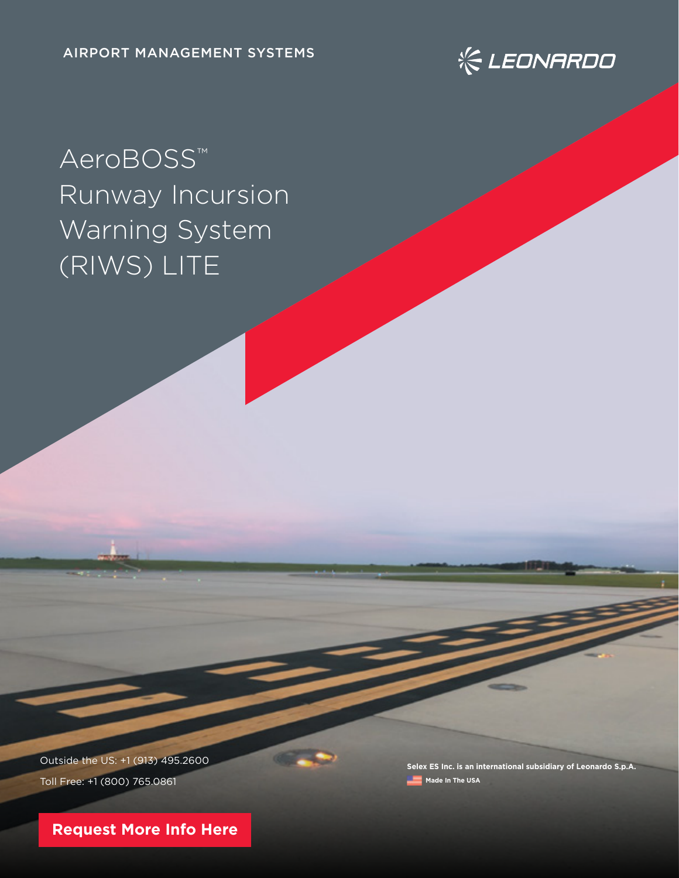

# AeroBOSS™ Runway Incursion Warning System (RIWS) LITE

Outside the US: +1 (913) 495.2600 Toll Free: +1 (800) 765.0861

**Selex ES Inc. is an international subsidiary of Leonardo S.p.A. Made In The USA** 

**[Request More Info Here](https://www.leonardocompany-us.com/atm-qr-aeroboss-info-request-0-0)**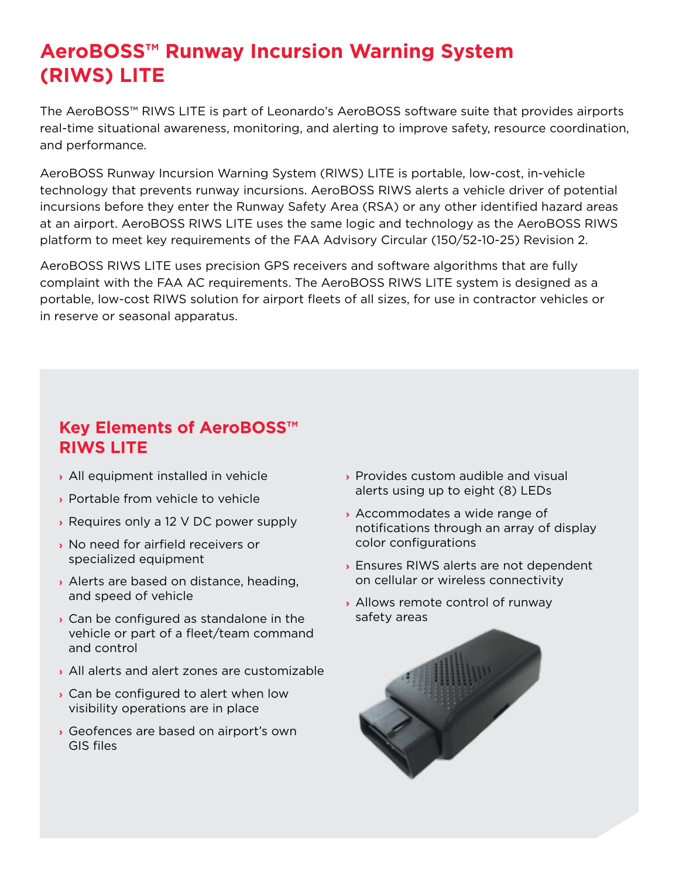## **AeroBOSS™ Runway Incursion Warning System (RIWS) LITE**

The AeroBOSS™ RIWS LITE is part of Leonardo's AeroBOSS software suite that provides airports real-time situational awareness, monitoring, and alerting to improve safety, resource coordination, and performance.

AeroBOSS Runway Incursion Warning System (RIWS) LITE is portable, low-cost, in-vehicle technology that prevents runway incursions. AeroBOSS RIWS alerts a vehicle driver of potential incursions before they enter the Runway Safety Area (RSA) or any other identified hazard areas at an airport. AeroBOSS RIWS LITE uses the same logic and technology as the AeroBOSS RIWS platform to meet key requirements of the FAA Advisory Circular (150/52-10-25) Revision 2.

AeroBOSS RIWS LITE uses precision GPS receivers and software algorithms that are fully complaint with the FAA AC requirements. The AeroBOSS RIWS LITE system is designed as a portable, low-cost RIWS solution for airport fleets of all sizes, for use in contractor vehicles or in reserve or seasonal apparatus.

### **Key Elements of AeroBOSS™ RIWS LITE**

- **›** All equipment installed in vehicle
- **›** Portable from vehicle to vehicle
- **›** Requires only a 12 V DC power supply
- **›** No need for airfield receivers or specialized equipment
- **›** Alerts are based on distance, heading, and speed of vehicle
- **›** Can be configured as standalone in the vehicle or part of a fleet/team command and control
- **›** All alerts and alert zones are customizable
- **›** Can be configured to alert when low visibility operations are in place
- **›** Geofences are based on airport's own GIS files
- **›** Provides custom audible and visual alerts using up to eight (8) LEDs
- **›** Accommodates a wide range of notifications through an array of display color configurations
- **›** Ensures RIWS alerts are not dependent on cellular or wireless connectivity
- **›** Allows remote control of runway safety areas

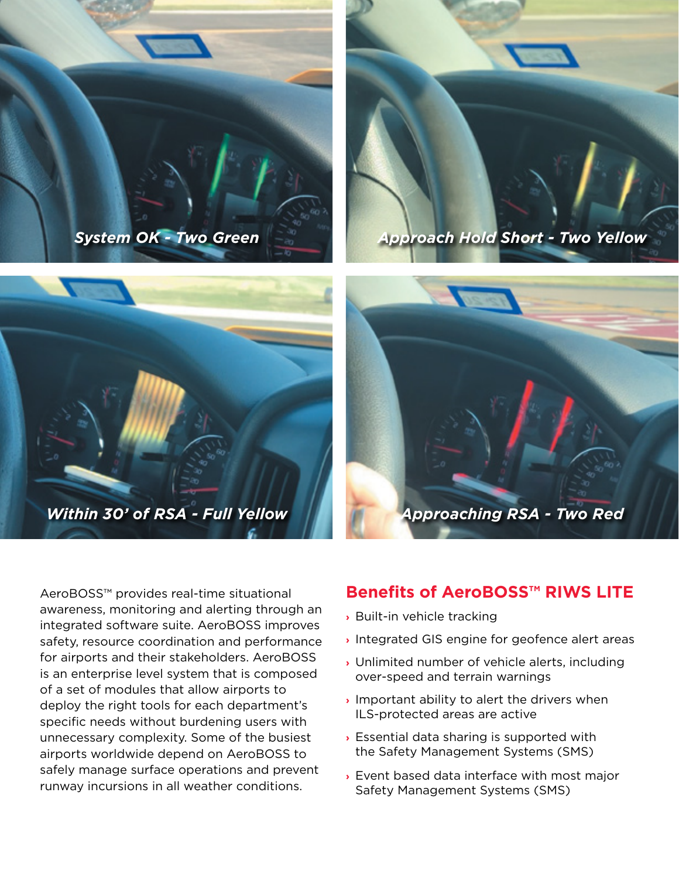







AeroBOSS™ provides real-time situational awareness, monitoring and alerting through an integrated software suite. AeroBOSS improves safety, resource coordination and performance for airports and their stakeholders. AeroBOSS is an enterprise level system that is composed of a set of modules that allow airports to deploy the right tools for each department's specific needs without burdening users with unnecessary complexity. Some of the busiest airports worldwide depend on AeroBOSS to safely manage surface operations and prevent runway incursions in all weather conditions.

#### **Benefits of AeroBOSS™ RIWS LITE**

- **›** Built-in vehicle tracking
- **›** Integrated GIS engine for geofence alert areas
- **›** Unlimited number of vehicle alerts, including over-speed and terrain warnings
- **›** Important ability to alert the drivers when ILS-protected areas are active
- **›** Essential data sharing is supported with the Safety Management Systems (SMS)
- **›** Event based data interface with most major Safety Management Systems (SMS)